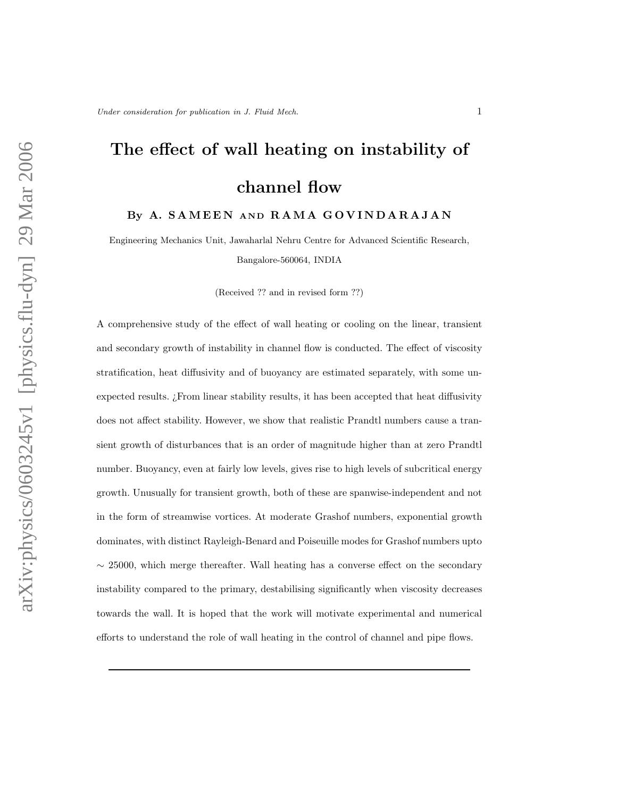# The effect of wall heating on instability of channel flow

# By A. SAMEEN AND RAMA GOVINDARAJAN

Engineering Mechanics Unit, Jawaharlal Nehru Centre for Advanced Scientific Research, Bangalore-560064, INDIA

(Received ?? and in revised form ??)

A comprehensive study of the effect of wall heating or cooling on the linear, transient and secondary growth of instability in channel flow is conducted. The effect of viscosity stratification, heat diffusivity and of buoyancy are estimated separately, with some unexpected results. ¿From linear stability results, it has been accepted that heat diffusivity does not affect stability. However, we show that realistic Prandtl numbers cause a transient growth of disturbances that is an order of magnitude higher than at zero Prandtl number. Buoyancy, even at fairly low levels, gives rise to high levels of subcritical energy growth. Unusually for transient growth, both of these are spanwise-independent and not in the form of streamwise vortices. At moderate Grashof numbers, exponential growth dominates, with distinct Rayleigh-Benard and Poiseuille modes for Grashof numbers upto  $\sim$  25000, which merge thereafter. Wall heating has a converse effect on the secondary instability compared to the primary, destabilising significantly when viscosity decreases towards the wall. It is hoped that the work will motivate experimental and numerical efforts to understand the role of wall heating in the control of channel and pipe flows.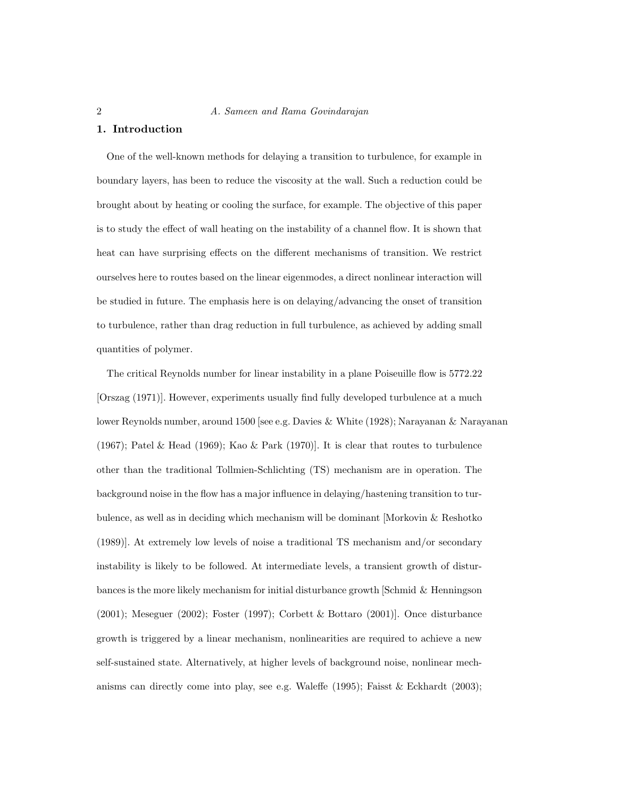## 2 A. Sameen and Rama Govindarajan

#### 1. Introduction

One of the well-known methods for delaying a transition to turbulence, for example in boundary layers, has been to reduce the viscosity at the wall. Such a reduction could be brought about by heating or cooling the surface, for example. The objective of this paper is to study the effect of wall heating on the instability of a channel flow. It is shown that heat can have surprising effects on the different mechanisms of transition. We restrict ourselves here to routes based on the linear eigenmodes, a direct nonlinear interaction will be studied in future. The emphasis here is on delaying/advancing the onset of transition to turbulence, rather than drag reduction in full turbulence, as achieved by adding small quantities of polymer.

The critical Reynolds number for linear instability in a plane Poiseuille flow is 5772.22 [Orszag (1971)]. However, experiments usually find fully developed turbulence at a much lower Reynolds number, around 1500 [see e.g. Davies & White (1928); Narayanan & Narayanan (1967); Patel & Head (1969); Kao & Park (1970)]. It is clear that routes to turbulence other than the traditional Tollmien-Schlichting (TS) mechanism are in operation. The background noise in the flow has a major influence in delaying/hastening transition to turbulence, as well as in deciding which mechanism will be dominant [Morkovin & Reshotko (1989)]. At extremely low levels of noise a traditional TS mechanism and/or secondary instability is likely to be followed. At intermediate levels, a transient growth of disturbances is the more likely mechanism for initial disturbance growth [Schmid & Henningson (2001); Meseguer (2002); Foster (1997); Corbett & Bottaro (2001)]. Once disturbance growth is triggered by a linear mechanism, nonlinearities are required to achieve a new self-sustained state. Alternatively, at higher levels of background noise, nonlinear mechanisms can directly come into play, see e.g. Waleffe (1995); Faisst & Eckhardt (2003);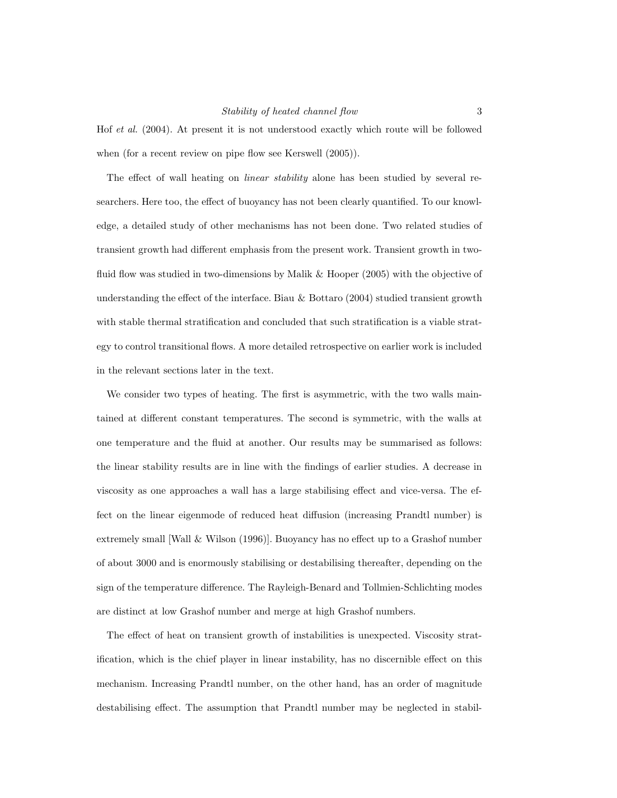Hof et al. (2004). At present it is not understood exactly which route will be followed when (for a recent review on pipe flow see Kerswell  $(2005)$ ).

The effect of wall heating on *linear stability* alone has been studied by several researchers. Here too, the effect of buoyancy has not been clearly quantified. To our knowledge, a detailed study of other mechanisms has not been done. Two related studies of transient growth had different emphasis from the present work. Transient growth in twofluid flow was studied in two-dimensions by Malik & Hooper (2005) with the objective of understanding the effect of the interface. Biau & Bottaro (2004) studied transient growth with stable thermal stratification and concluded that such stratification is a viable strategy to control transitional flows. A more detailed retrospective on earlier work is included in the relevant sections later in the text.

We consider two types of heating. The first is asymmetric, with the two walls maintained at different constant temperatures. The second is symmetric, with the walls at one temperature and the fluid at another. Our results may be summarised as follows: the linear stability results are in line with the findings of earlier studies. A decrease in viscosity as one approaches a wall has a large stabilising effect and vice-versa. The effect on the linear eigenmode of reduced heat diffusion (increasing Prandtl number) is extremely small [Wall & Wilson (1996)]. Buoyancy has no effect up to a Grashof number of about 3000 and is enormously stabilising or destabilising thereafter, depending on the sign of the temperature difference. The Rayleigh-Benard and Tollmien-Schlichting modes are distinct at low Grashof number and merge at high Grashof numbers.

The effect of heat on transient growth of instabilities is unexpected. Viscosity stratification, which is the chief player in linear instability, has no discernible effect on this mechanism. Increasing Prandtl number, on the other hand, has an order of magnitude destabilising effect. The assumption that Prandtl number may be neglected in stabil-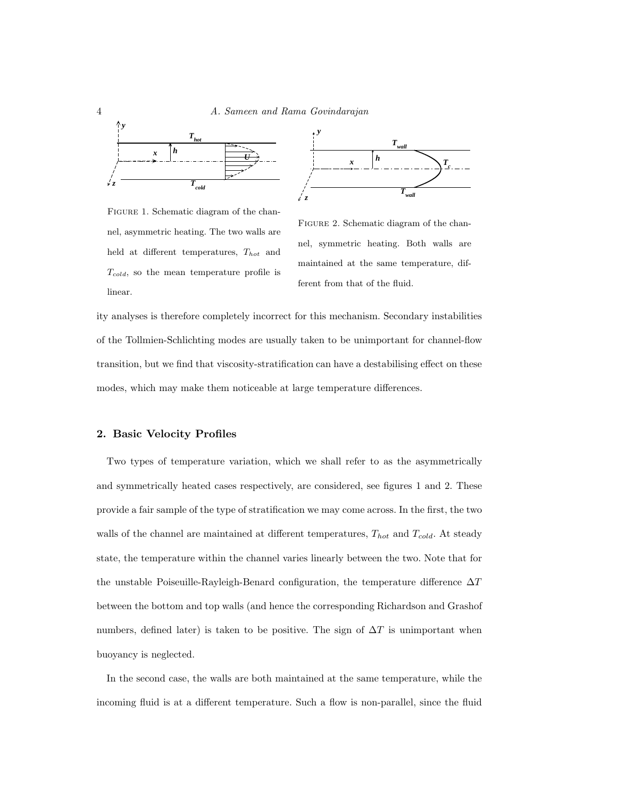



Figure 1. Schematic diagram of the channel, asymmetric heating. The two walls are held at different temperatures,  $T_{hot}$  and  $T_{cold}$ , so the mean temperature profile is linear.

FIGURE 2. Schematic diagram of the channel, symmetric heating. Both walls are maintained at the same temperature, different from that of the fluid.

ity analyses is therefore completely incorrect for this mechanism. Secondary instabilities of the Tollmien-Schlichting modes are usually taken to be unimportant for channel-flow transition, but we find that viscosity-stratification can have a destabilising effect on these modes, which may make them noticeable at large temperature differences.

# 2. Basic Velocity Profiles

Two types of temperature variation, which we shall refer to as the asymmetrically and symmetrically heated cases respectively, are considered, see figures 1 and 2. These provide a fair sample of the type of stratification we may come across. In the first, the two walls of the channel are maintained at different temperatures,  $T_{hot}$  and  $T_{cold}$ . At steady state, the temperature within the channel varies linearly between the two. Note that for the unstable Poiseuille-Rayleigh-Benard configuration, the temperature difference  $\Delta T$ between the bottom and top walls (and hence the corresponding Richardson and Grashof numbers, defined later) is taken to be positive. The sign of  $\Delta T$  is unimportant when buoyancy is neglected.

In the second case, the walls are both maintained at the same temperature, while the incoming fluid is at a different temperature. Such a flow is non-parallel, since the fluid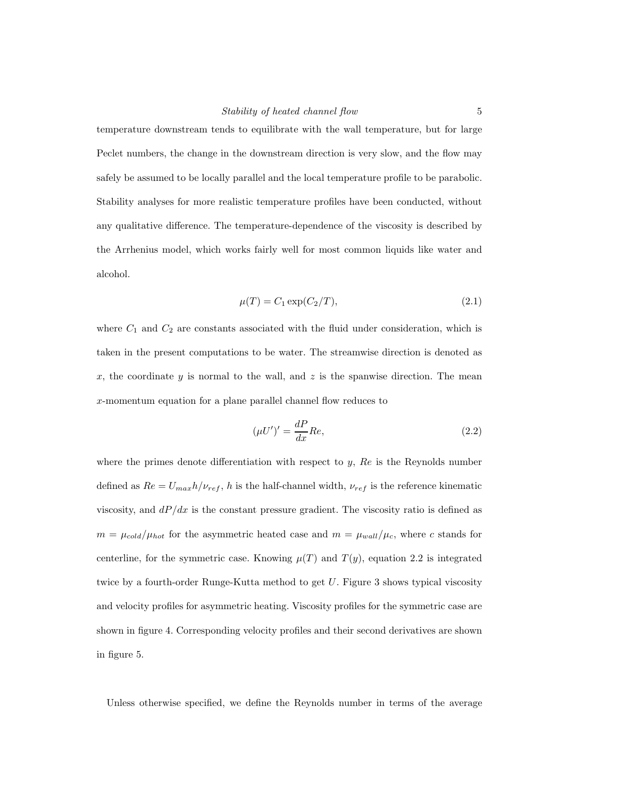temperature downstream tends to equilibrate with the wall temperature, but for large Peclet numbers, the change in the downstream direction is very slow, and the flow may safely be assumed to be locally parallel and the local temperature profile to be parabolic. Stability analyses for more realistic temperature profiles have been conducted, without any qualitative difference. The temperature-dependence of the viscosity is described by the Arrhenius model, which works fairly well for most common liquids like water and alcohol.

$$
\mu(T) = C_1 \exp(C_2/T), \tag{2.1}
$$

where  $C_1$  and  $C_2$  are constants associated with the fluid under consideration, which is taken in the present computations to be water. The streamwise direction is denoted as x, the coordinate y is normal to the wall, and z is the spanwise direction. The mean x-momentum equation for a plane parallel channel flow reduces to

$$
(\mu U')' = \frac{dP}{dx} Re,\t\t(2.2)
$$

where the primes denote differentiation with respect to  $y$ ,  $Re$  is the Reynolds number defined as  $Re = U_{max}h/\nu_{ref}$ , h is the half-channel width,  $\nu_{ref}$  is the reference kinematic viscosity, and  $dP/dx$  is the constant pressure gradient. The viscosity ratio is defined as  $m = \mu_{cold}/\mu_{hot}$  for the asymmetric heated case and  $m = \mu_{wall}/\mu_c$ , where c stands for centerline, for the symmetric case. Knowing  $\mu(T)$  and  $T(y)$ , equation 2.2 is integrated twice by a fourth-order Runge-Kutta method to get U. Figure 3 shows typical viscosity and velocity profiles for asymmetric heating. Viscosity profiles for the symmetric case are shown in figure 4. Corresponding velocity profiles and their second derivatives are shown in figure 5.

Unless otherwise specified, we define the Reynolds number in terms of the average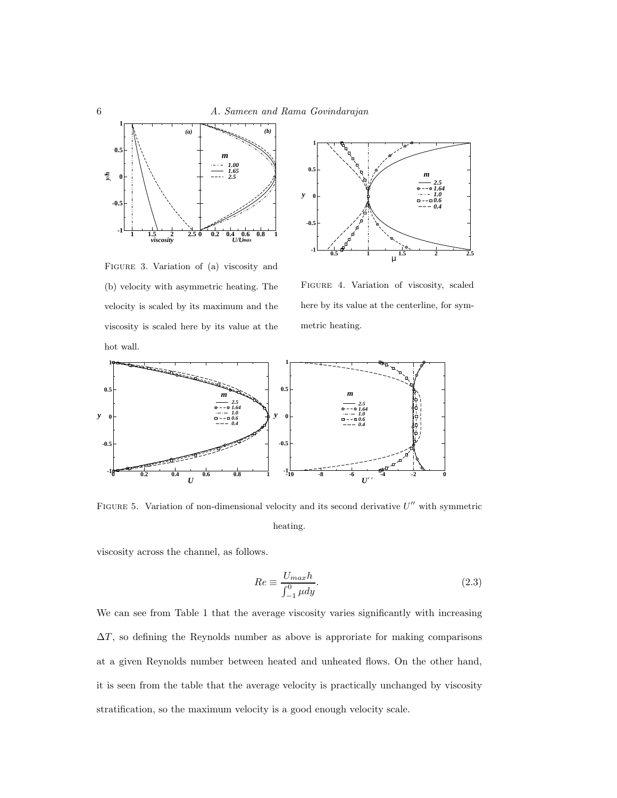



FIGURE 3. Variation of (a) viscosity and (b) velocity with asymmetric heating. The velocity is scaled by its maximum and the viscosity is scaled here by its value at the hot wall.

Figure 4. Variation of viscosity, scaled here by its value at the centerline, for symmetric heating.



FIGURE 5. Variation of non-dimensional velocity and its second derivative  $U''$  with symmetric heating.

viscosity across the channel, as follows.

$$
Re \equiv \frac{U_{max}h}{\int_{-1}^{0} \mu dy}.
$$
\n(2.3)

We can see from Table 1 that the average viscosity varies significantly with increasing  $\Delta T$ , so defining the Reynolds number as above is approriate for making comparisons at a given Reynolds number between heated and unheated flows. On the other hand, it is seen from the table that the average velocity is practically unchanged by viscosity stratification, so the maximum velocity is a good enough velocity scale.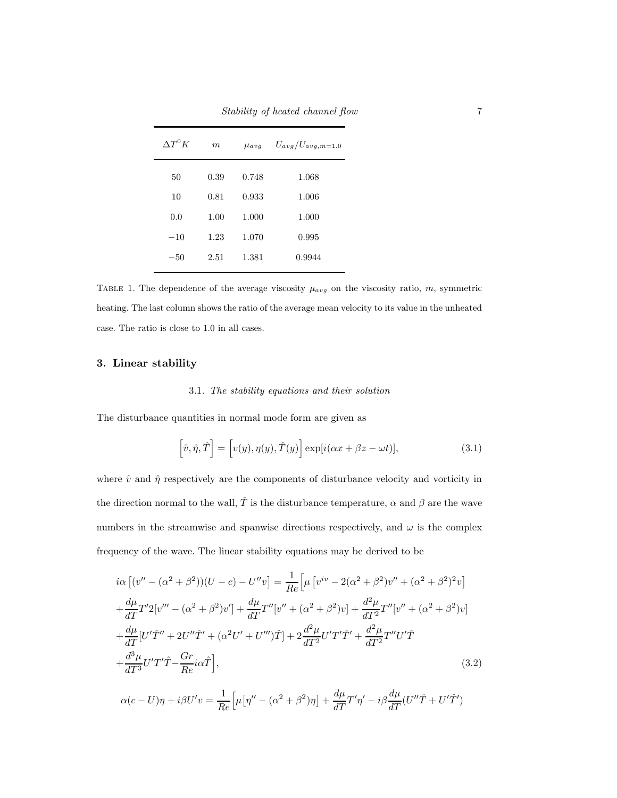| $\Delta T^0 K$ | m        | $\mu_{avg}$ | $U_{avg}/U_{avg,m=1.0}$ |
|----------------|----------|-------------|-------------------------|
| 50             | 0.39     | 0.748       | 1.068                   |
| 10             | 0.81     | 0.933       | 1.006                   |
| 0.0            | 1.00     | 1.000       | 1.000                   |
| $-10$          | 1.23     | 1.070       | 0.995                   |
| $-50$          | $2.51\,$ | 1.381       | 0.9944                  |

Stability of heated channel flow 7

TABLE 1. The dependence of the average viscosity  $\mu_{avg}$  on the viscosity ratio, m, symmetric heating. The last column shows the ratio of the average mean velocity to its value in the unheated case. The ratio is close to 1.0 in all cases.

## 3. Linear stability

#### 3.1. The stability equations and their solution

The disturbance quantities in normal mode form are given as

$$
\left[\hat{v}, \hat{\eta}, \hat{T}\right] = \left[v(y), \eta(y), \hat{T}(y)\right] \exp[i(\alpha x + \beta z - \omega t)],\tag{3.1}
$$

where  $\hat{v}$  and  $\hat{\eta}$  respectively are the components of disturbance velocity and vorticity in the direction normal to the wall,  $\hat{T}$  is the disturbance temperature,  $\alpha$  and  $\beta$  are the wave numbers in the streamwise and spanwise directions respectively, and  $\omega$  is the complex frequency of the wave. The linear stability equations may be derived to be

$$
i\alpha \left[ (v'' - (\alpha^2 + \beta^2))(U - c) - U''v \right] = \frac{1}{Re} \left[ \mu \left[ v^{iv} - 2(\alpha^2 + \beta^2)v'' + (\alpha^2 + \beta^2)^2 v \right] \right.
$$
  
\n
$$
+ \frac{d\mu}{dT} T' 2[v''' - (\alpha^2 + \beta^2)v'] + \frac{d\mu}{dT} T''[v'' + (\alpha^2 + \beta^2)v] + \frac{d^2\mu}{dT^2} T''[v'' + (\alpha^2 + \beta^2)v]
$$
  
\n
$$
+ \frac{d\mu}{dT} [U'\hat{T}'' + 2U''\hat{T}' + (\alpha^2 U' + U''')\hat{T}] + 2\frac{d^2\mu}{dT^2} U'T'\hat{T}' + \frac{d^2\mu}{dT^2} T''U'\hat{T}
$$
  
\n
$$
+ \frac{d^3\mu}{dT^3} U'T'\hat{T} - \frac{Gr}{Re} i\alpha \hat{T} \right],
$$
\n(3.2)

$$
\alpha(c-U)\eta + i\beta U'v = \frac{1}{Re}\Big[\mu\big[\eta'' - (\alpha^2 + \beta^2)\eta\big] + \frac{d\mu}{dT}T'\eta' - i\beta\frac{d\mu}{dT}(U''\hat{T} + U'\hat{T}')
$$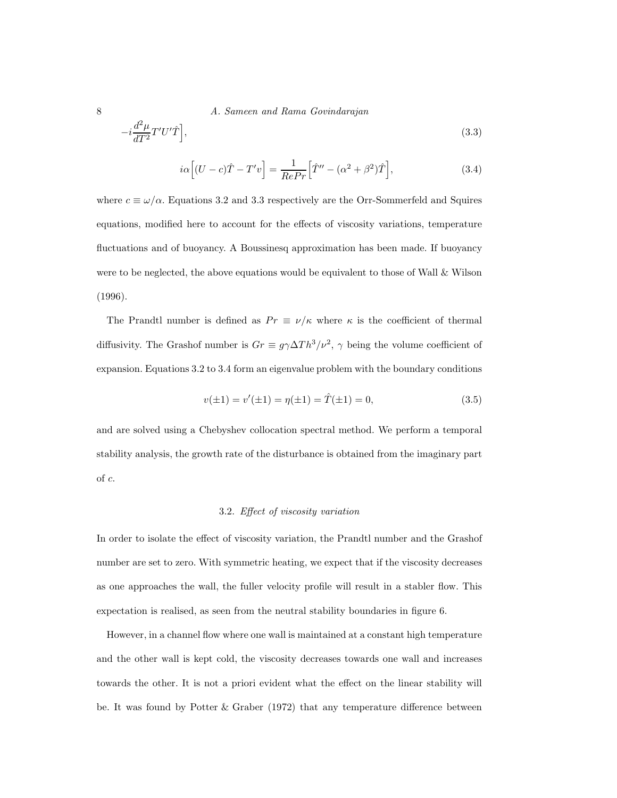8 A. Sameen and Rama Govindarajan

$$
-i\frac{d^2\mu}{dT^2}T'U'\hat{T}\Big],\tag{3.3}
$$

$$
i\alpha \left[ (U - c)\hat{T} - T'v \right] = \frac{1}{RePr} \left[ \hat{T}'' - (\alpha^2 + \beta^2)\hat{T} \right],\tag{3.4}
$$

where  $c \equiv \omega/\alpha$ . Equations 3.2 and 3.3 respectively are the Orr-Sommerfeld and Squires equations, modified here to account for the effects of viscosity variations, temperature fluctuations and of buoyancy. A Boussinesq approximation has been made. If buoyancy were to be neglected, the above equations would be equivalent to those of Wall & Wilson (1996).

The Prandtl number is defined as  $Pr \equiv \nu/\kappa$  where  $\kappa$  is the coefficient of thermal diffusivity. The Grashof number is  $Gr \equiv g\gamma \Delta T h^3/\nu^2$ ,  $\gamma$  being the volume coefficient of expansion. Equations 3.2 to 3.4 form an eigenvalue problem with the boundary conditions

$$
v(\pm 1) = v'(\pm 1) = \eta(\pm 1) = \hat{T}(\pm 1) = 0,
$$
\n(3.5)

and are solved using a Chebyshev collocation spectral method. We perform a temporal stability analysis, the growth rate of the disturbance is obtained from the imaginary part of c.

#### 3.2. Effect of viscosity variation

In order to isolate the effect of viscosity variation, the Prandtl number and the Grashof number are set to zero. With symmetric heating, we expect that if the viscosity decreases as one approaches the wall, the fuller velocity profile will result in a stabler flow. This expectation is realised, as seen from the neutral stability boundaries in figure 6.

However, in a channel flow where one wall is maintained at a constant high temperature and the other wall is kept cold, the viscosity decreases towards one wall and increases towards the other. It is not a priori evident what the effect on the linear stability will be. It was found by Potter & Graber (1972) that any temperature difference between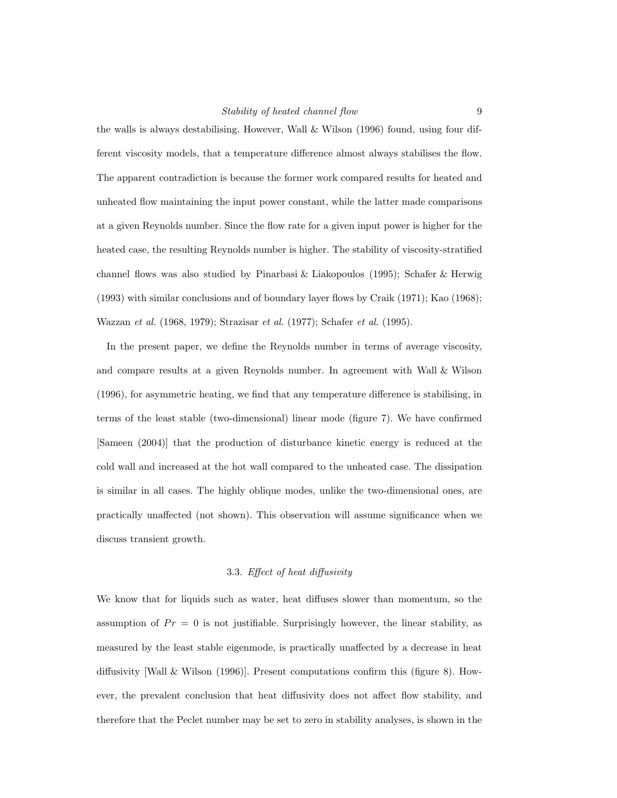the walls is always destabilising. However, Wall & Wilson (1996) found, using four different viscosity models, that a temperature difference almost always stabilises the flow. The apparent contradiction is because the former work compared results for heated and unheated flow maintaining the input power constant, while the latter made comparisons at a given Reynolds number. Since the flow rate for a given input power is higher for the heated case, the resulting Reynolds number is higher. The stability of viscosity-stratified channel flows was also studied by Pinarbasi & Liakopoulos (1995); Schafer & Herwig (1993) with similar conclusions and of boundary layer flows by Craik (1971); Kao (1968); Wazzan et al. (1968, 1979); Strazisar et al. (1977); Schafer et al. (1995).

In the present paper, we define the Reynolds number in terms of average viscosity, and compare results at a given Reynolds number. In agreement with Wall & Wilson (1996), for asymmetric heating, we find that any temperature difference is stabilising, in terms of the least stable (two-dimensional) linear mode (figure 7). We have confirmed [Sameen (2004)] that the production of disturbance kinetic energy is reduced at the cold wall and increased at the hot wall compared to the unheated case. The dissipation is similar in all cases. The highly oblique modes, unlike the two-dimensional ones, are practically unaffected (not shown). This observation will assume significance when we discuss transient growth.

#### 3.3. Effect of heat diffusivity

We know that for liquids such as water, heat diffuses slower than momentum, so the assumption of  $Pr = 0$  is not justifiable. Surprisingly however, the linear stability, as measured by the least stable eigenmode, is practically unaffected by a decrease in heat diffusivity [Wall  $\&$  Wilson (1996)]. Present computations confirm this (figure 8). However, the prevalent conclusion that heat diffusivity does not affect flow stability, and therefore that the Peclet number may be set to zero in stability analyses, is shown in the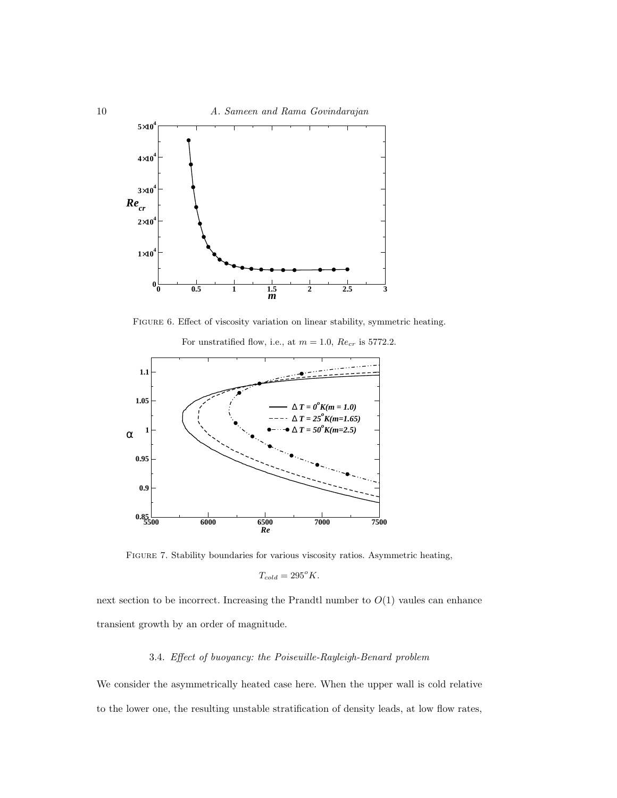

Figure 6. Effect of viscosity variation on linear stability, symmetric heating.



For unstratified flow, i.e., at  $m = 1.0$ ,  $Re_{cr}$  is 5772.2.

Figure 7. Stability boundaries for various viscosity ratios. Asymmetric heating,

$$
T_{cold}=295^o K.
$$

next section to be incorrect. Increasing the Prandtl number to  $O(1)$  vaules can enhance transient growth by an order of magnitude.

## 3.4. Effect of buoyancy: the Poiseuille-Rayleigh-Benard problem

We consider the asymmetrically heated case here. When the upper wall is cold relative to the lower one, the resulting unstable stratification of density leads, at low flow rates,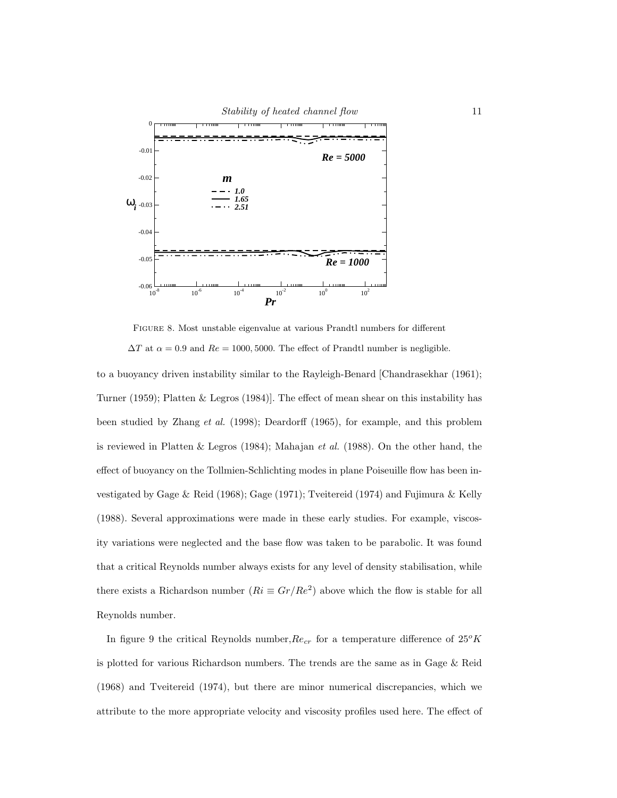

Figure 8. Most unstable eigenvalue at various Prandtl numbers for different  $\Delta T$  at  $\alpha = 0.9$  and  $Re = 1000, 5000$ . The effect of Prandtl number is negligible.

to a buoyancy driven instability similar to the Rayleigh-Benard [Chandrasekhar (1961); Turner (1959); Platten & Legros (1984)]. The effect of mean shear on this instability has been studied by Zhang et al. (1998); Deardorff (1965), for example, and this problem is reviewed in Platten & Legros (1984); Mahajan *et al.* (1988). On the other hand, the effect of buoyancy on the Tollmien-Schlichting modes in plane Poiseuille flow has been investigated by Gage & Reid (1968); Gage (1971); Tveitereid (1974) and Fujimura & Kelly (1988). Several approximations were made in these early studies. For example, viscosity variations were neglected and the base flow was taken to be parabolic. It was found that a critical Reynolds number always exists for any level of density stabilisation, while there exists a Richardson number  $(Ri \equiv Gr/Re^2)$  above which the flow is stable for all Reynolds number.

In figure 9 the critical Reynolds number,  $Re_{cr}$  for a temperature difference of  $25^{\circ} K$ is plotted for various Richardson numbers. The trends are the same as in Gage & Reid (1968) and Tveitereid (1974), but there are minor numerical discrepancies, which we attribute to the more appropriate velocity and viscosity profiles used here. The effect of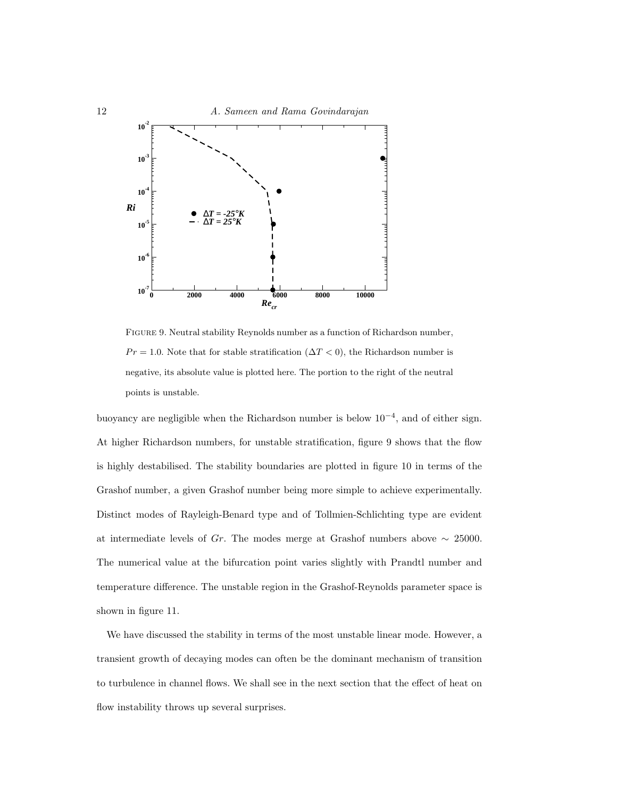

Figure 9. Neutral stability Reynolds number as a function of Richardson number,  $Pr = 1.0$ . Note that for stable stratification ( $\Delta T < 0$ ), the Richardson number is negative, its absolute value is plotted here. The portion to the right of the neutral points is unstable.

buoyancy are negligible when the Richardson number is below 10<sup>−</sup><sup>4</sup> , and of either sign. At higher Richardson numbers, for unstable stratification, figure 9 shows that the flow is highly destabilised. The stability boundaries are plotted in figure 10 in terms of the Grashof number, a given Grashof number being more simple to achieve experimentally. Distinct modes of Rayleigh-Benard type and of Tollmien-Schlichting type are evident at intermediate levels of Gr. The modes merge at Grashof numbers above  $\sim$  25000. The numerical value at the bifurcation point varies slightly with Prandtl number and temperature difference. The unstable region in the Grashof-Reynolds parameter space is shown in figure 11.

We have discussed the stability in terms of the most unstable linear mode. However, a transient growth of decaying modes can often be the dominant mechanism of transition to turbulence in channel flows. We shall see in the next section that the effect of heat on flow instability throws up several surprises.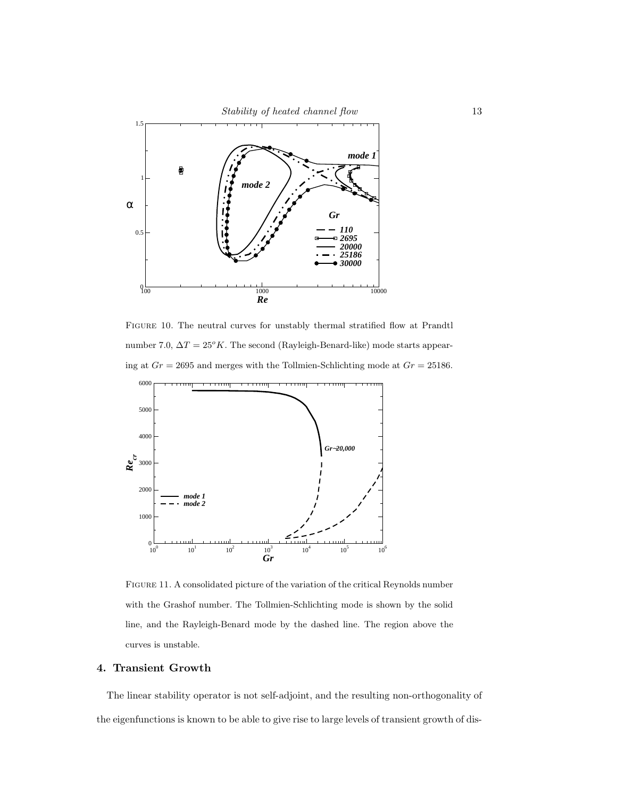



FIGURE 10. The neutral curves for unstably thermal stratified flow at Prandtl number 7.0,  $\Delta T = 25^\circ K$ . The second (Rayleigh-Benard-like) mode starts appearing at  $Gr = 2695$  and merges with the Tollmien-Schlichting mode at  $Gr = 25186$ .



Figure 11. A consolidated picture of the variation of the critical Reynolds number with the Grashof number. The Tollmien-Schlichting mode is shown by the solid line, and the Rayleigh-Benard mode by the dashed line. The region above the curves is unstable.

## 4. Transient Growth

The linear stability operator is not self-adjoint, and the resulting non-orthogonality of the eigenfunctions is known to be able to give rise to large levels of transient growth of dis-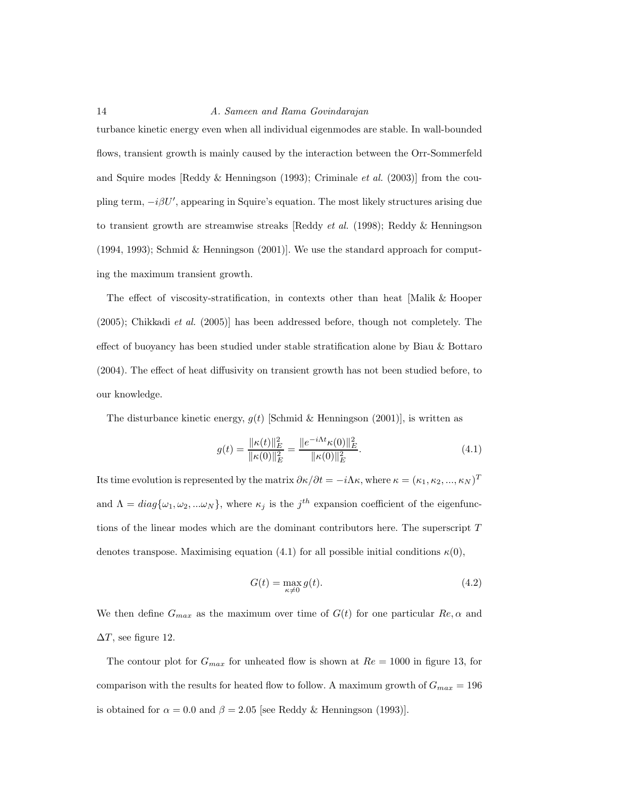#### 14 A. Sameen and Rama Govindarajan

turbance kinetic energy even when all individual eigenmodes are stable. In wall-bounded flows, transient growth is mainly caused by the interaction between the Orr-Sommerfeld and Squire modes [Reddy & Henningson (1993); Criminale *et al.* (2003)] from the coupling term,  $-i\beta U'$ , appearing in Squire's equation. The most likely structures arising due to transient growth are streamwise streaks [Reddy *et al.* (1998); Reddy & Henningson (1994, 1993); Schmid & Henningson (2001)]. We use the standard approach for computing the maximum transient growth.

The effect of viscosity-stratification, in contexts other than heat [Malik & Hooper  $(2005)$ ; Chikkadi *et al.*  $(2005)$ ] has been addressed before, though not completely. The effect of buoyancy has been studied under stable stratification alone by Biau & Bottaro (2004). The effect of heat diffusivity on transient growth has not been studied before, to our knowledge.

The disturbance kinetic energy,  $g(t)$  [Schmid & Henningson (2001)], is written as

$$
g(t) = \frac{\|\kappa(t)\|_E^2}{\|\kappa(0)\|_E^2} = \frac{\|e^{-i\Lambda t}\kappa(0)\|_E^2}{\|\kappa(0)\|_E^2}.
$$
\n(4.1)

Its time evolution is represented by the matrix  $\partial \kappa/\partial t = -i\Lambda \kappa$ , where  $\kappa = (\kappa_1, \kappa_2, ..., \kappa_N)^T$ and  $\Lambda = diag{\{\omega_1, \omega_2, ...\omega_N\}}$ , where  $\kappa_j$  is the  $j^{th}$  expansion coefficient of the eigenfunctions of the linear modes which are the dominant contributors here. The superscript T denotes transpose. Maximising equation (4.1) for all possible initial conditions  $\kappa(0)$ ,

$$
G(t) = \max_{\kappa \neq 0} g(t). \tag{4.2}
$$

We then define  $G_{max}$  as the maximum over time of  $G(t)$  for one particular  $Re, \alpha$  and  $\Delta T$ , see figure 12.

The contour plot for  $G_{max}$  for unheated flow is shown at  $Re = 1000$  in figure 13, for comparison with the results for heated flow to follow. A maximum growth of  $G_{max} = 196$ is obtained for  $\alpha = 0.0$  and  $\beta = 2.05$  [see Reddy & Henningson (1993)].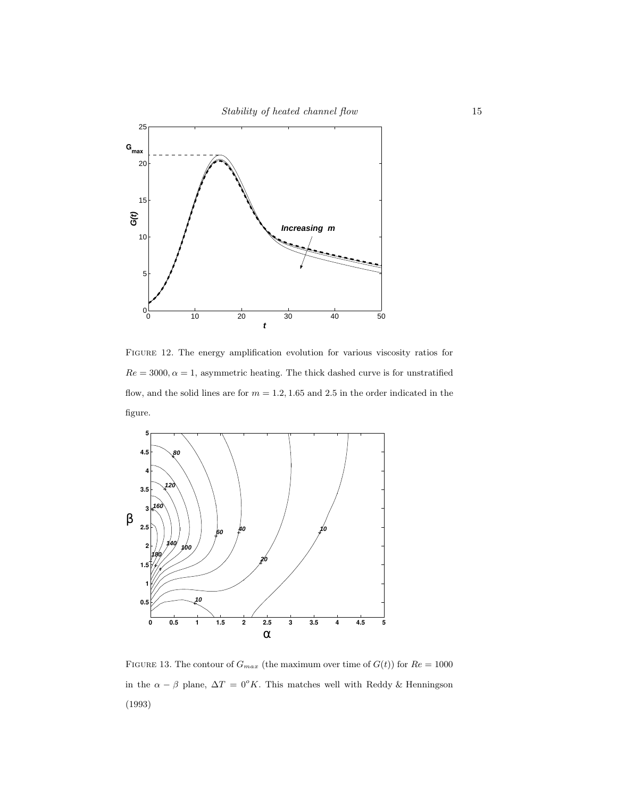

Figure 12. The energy amplification evolution for various viscosity ratios for  $Re = 3000, \alpha = 1$ , asymmetric heating. The thick dashed curve is for unstratified flow, and the solid lines are for  $m = 1.2, 1.65$  and 2.5 in the order indicated in the figure.



FIGURE 13. The contour of  $G_{max}$  (the maximum over time of  $G(t)$ ) for  $Re = 1000$ in the  $\alpha$  −  $\beta$  plane,  $\Delta T\,$  =  $\,0^oK.\,$  This matches well with Reddy  $\&$  Henningson (1993)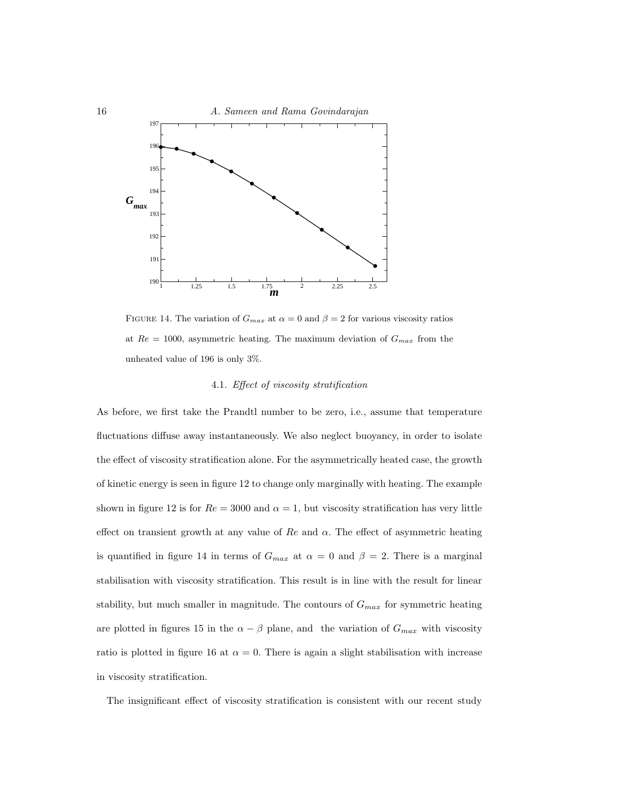

FIGURE 14. The variation of  $G_{max}$  at  $\alpha = 0$  and  $\beta = 2$  for various viscosity ratios at  $Re = 1000$ , asymmetric heating. The maximum deviation of  $G_{max}$  from the unheated value of 196 is only 3%.

# 4.1. Effect of viscosity stratification

As before, we first take the Prandtl number to be zero, i.e., assume that temperature fluctuations diffuse away instantaneously. We also neglect buoyancy, in order to isolate the effect of viscosity stratification alone. For the asymmetrically heated case, the growth of kinetic energy is seen in figure 12 to change only marginally with heating. The example shown in figure 12 is for  $Re = 3000$  and  $\alpha = 1$ , but viscosity stratification has very little effect on transient growth at any value of  $Re$  and  $\alpha$ . The effect of asymmetric heating is quantified in figure 14 in terms of  $G_{max}$  at  $\alpha = 0$  and  $\beta = 2$ . There is a marginal stabilisation with viscosity stratification. This result is in line with the result for linear stability, but much smaller in magnitude. The contours of  $G_{max}$  for symmetric heating are plotted in figures 15 in the  $\alpha - \beta$  plane, and the variation of  $G_{max}$  with viscosity ratio is plotted in figure 16 at  $\alpha = 0$ . There is again a slight stabilisation with increase in viscosity stratification.

The insignificant effect of viscosity stratification is consistent with our recent study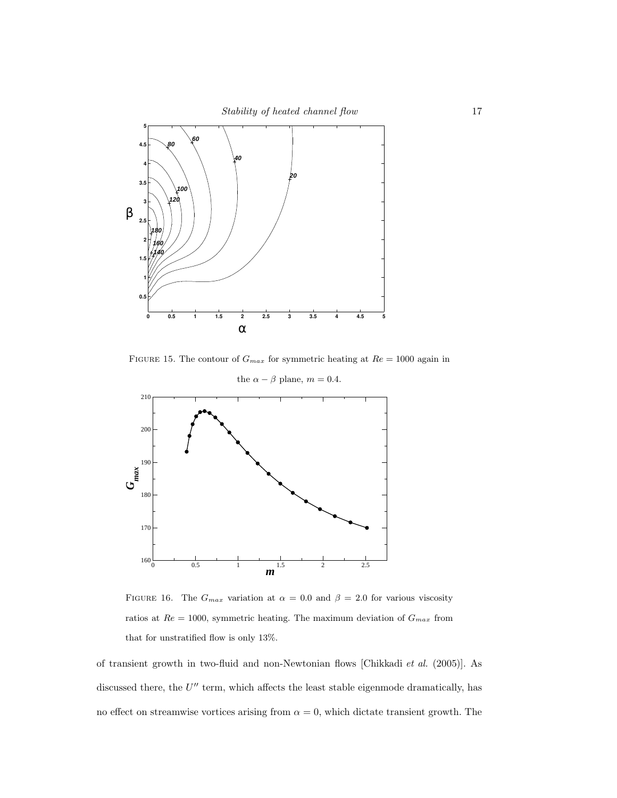

FIGURE 15. The contour of  $G_{max}$  for symmetric heating at  $Re = 1000$  again in



FIGURE 16. The  $G_{max}$  variation at  $\alpha = 0.0$  and  $\beta = 2.0$  for various viscosity ratios at  $Re = 1000$ , symmetric heating. The maximum deviation of  $G_{max}$  from that for unstratified flow is only 13%.

of transient growth in two-fluid and non-Newtonian flows [Chikkadi et al. (2005)]. As discussed there, the  $U''$  term, which affects the least stable eigenmode dramatically, has no effect on streamwise vortices arising from  $\alpha = 0$ , which dictate transient growth. The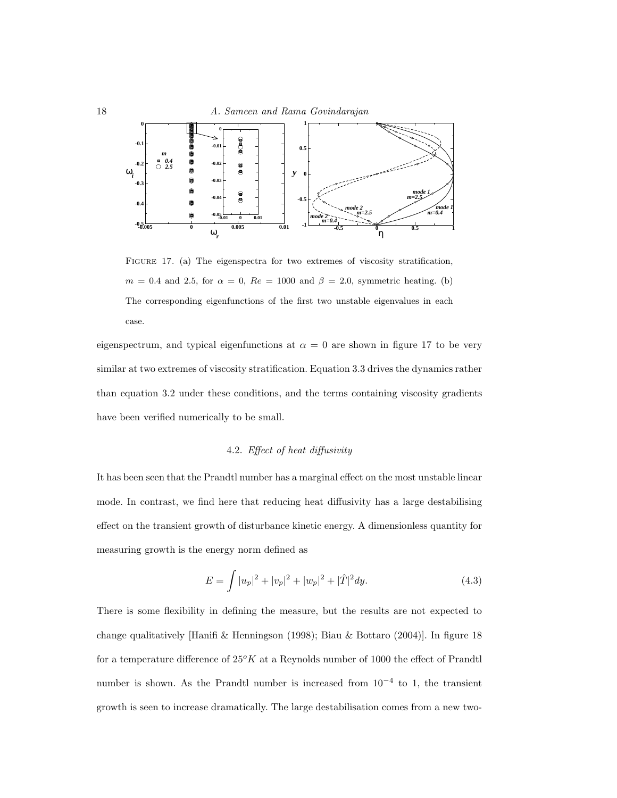

FIGURE 17. (a) The eigenspectra for two extremes of viscosity stratification,  $m = 0.4$  and 2.5, for  $\alpha = 0$ ,  $Re = 1000$  and  $\beta = 2.0$ , symmetric heating. (b) The corresponding eigenfunctions of the first two unstable eigenvalues in each case.

eigenspectrum, and typical eigenfunctions at  $\alpha = 0$  are shown in figure 17 to be very similar at two extremes of viscosity stratification. Equation 3.3 drives the dynamics rather than equation 3.2 under these conditions, and the terms containing viscosity gradients have been verified numerically to be small.

## 4.2. Effect of heat diffusivity

It has been seen that the Prandtl number has a marginal effect on the most unstable linear mode. In contrast, we find here that reducing heat diffusivity has a large destabilising effect on the transient growth of disturbance kinetic energy. A dimensionless quantity for measuring growth is the energy norm defined as

$$
E = \int |u_p|^2 + |v_p|^2 + |w_p|^2 + |\hat{T}|^2 dy.
$$
 (4.3)

There is some flexibility in defining the measure, but the results are not expected to change qualitatively [Hanifi & Henningson (1998); Biau & Bottaro (2004)]. In figure 18 for a temperature difference of  $25^o K$  at a Reynolds number of 1000 the effect of Prandtl number is shown. As the Prandtl number is increased from  $10^{-4}$  to 1, the transient growth is seen to increase dramatically. The large destabilisation comes from a new two-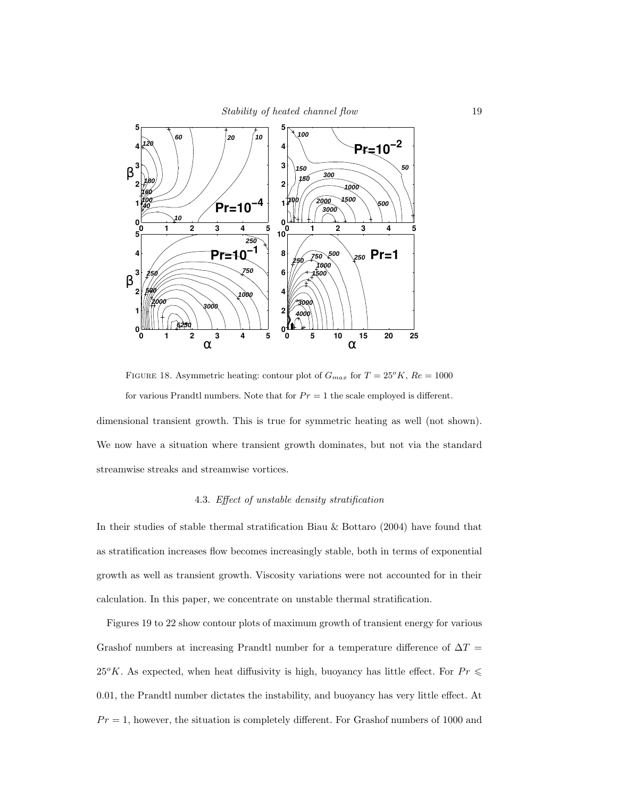

FIGURE 18. Asymmetric heating: contour plot of  $G_{max}$  for  $T = 25^\circ K$ ,  $Re = 1000$ for various Prandtl numbers. Note that for  $Pr = 1$  the scale employed is different.

dimensional transient growth. This is true for symmetric heating as well (not shown). We now have a situation where transient growth dominates, but not via the standard streamwise streaks and streamwise vortices.

## 4.3. Effect of unstable density stratification

In their studies of stable thermal stratification Biau & Bottaro (2004) have found that as stratification increases flow becomes increasingly stable, both in terms of exponential growth as well as transient growth. Viscosity variations were not accounted for in their calculation. In this paper, we concentrate on unstable thermal stratification.

Figures 19 to 22 show contour plots of maximum growth of transient energy for various Grashof numbers at increasing Prandtl number for a temperature difference of  $\Delta T =$ 25°K. As expected, when heat diffusivity is high, buoyancy has little effect. For  $Pr \leq$ .01, the Prandtl number dictates the instability, and buoyancy has very little effect. At  $Pr = 1$ , however, the situation is completely different. For Grashof numbers of 1000 and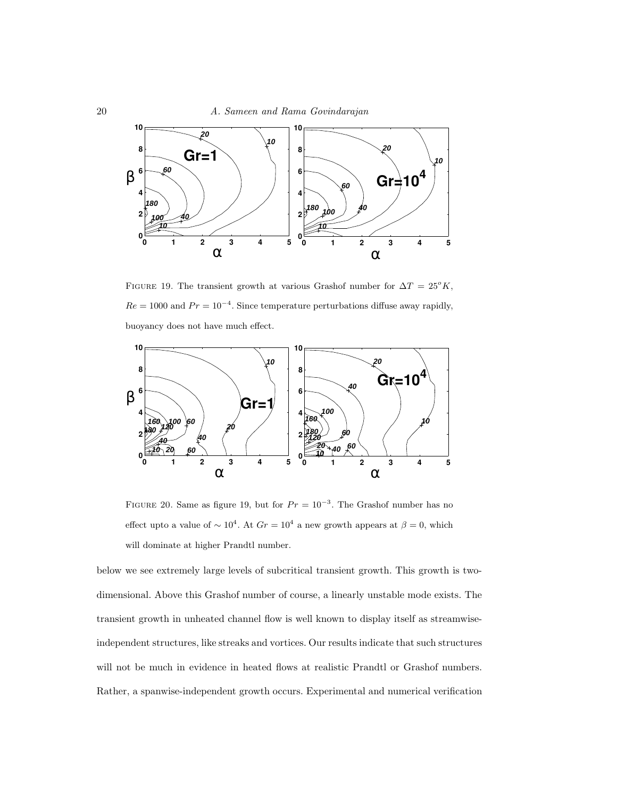

FIGURE 19. The transient growth at various Grashof number for  $\Delta T = 25^{\circ} K$ ,  $Re = 1000$  and  $Pr = 10^{-4}$ . Since temperature perturbations diffuse away rapidly, buoyancy does not have much effect.



FIGURE 20. Same as figure 19, but for  $Pr = 10^{-3}$ . The Grashof number has no effect upto a value of  $\sim 10^4$ . At  $Gr = 10^4$  a new growth appears at  $\beta = 0$ , which will dominate at higher Prandtl number.

below we see extremely large levels of subcritical transient growth. This growth is twodimensional. Above this Grashof number of course, a linearly unstable mode exists. The transient growth in unheated channel flow is well known to display itself as streamwiseindependent structures, like streaks and vortices. Our results indicate that such structures will not be much in evidence in heated flows at realistic Prandtl or Grashof numbers. Rather, a spanwise-independent growth occurs. Experimental and numerical verification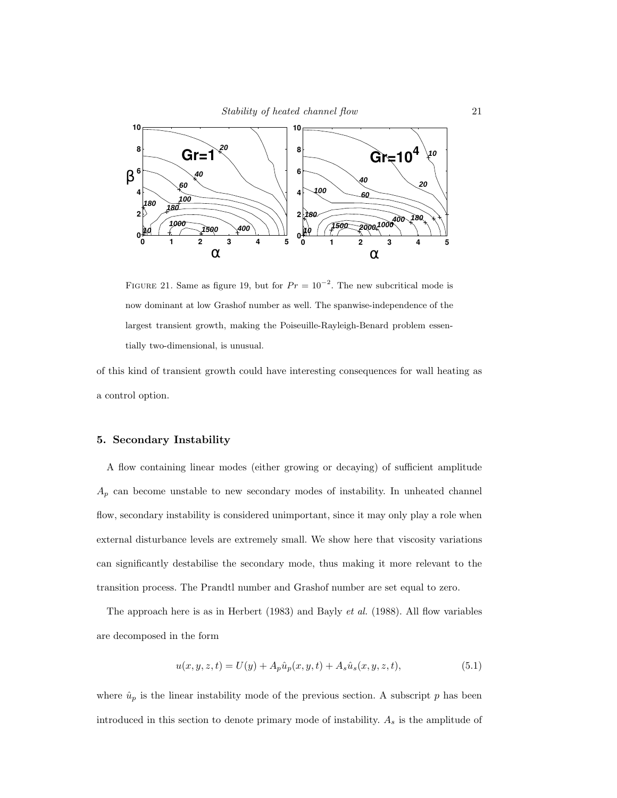

FIGURE 21. Same as figure 19, but for  $Pr = 10^{-2}$ . The new subcritical mode is now dominant at low Grashof number as well. The spanwise-independence of the largest transient growth, making the Poiseuille-Rayleigh-Benard problem essentially two-dimensional, is unusual.

of this kind of transient growth could have interesting consequences for wall heating as a control option.

### 5. Secondary Instability

A flow containing linear modes (either growing or decaying) of sufficient amplitude  $A_p$  can become unstable to new secondary modes of instability. In unheated channel flow, secondary instability is considered unimportant, since it may only play a role when external disturbance levels are extremely small. We show here that viscosity variations can significantly destabilise the secondary mode, thus making it more relevant to the transition process. The Prandtl number and Grashof number are set equal to zero.

The approach here is as in Herbert  $(1983)$  and Bayly *et al.*  $(1988)$ . All flow variables are decomposed in the form

$$
u(x, y, z, t) = U(y) + A_p \hat{u}_p(x, y, t) + A_s \hat{u}_s(x, y, z, t),
$$
\n(5.1)

where  $\hat{u}_p$  is the linear instability mode of the previous section. A subscript  $p$  has been introduced in this section to denote primary mode of instability.  $A_s$  is the amplitude of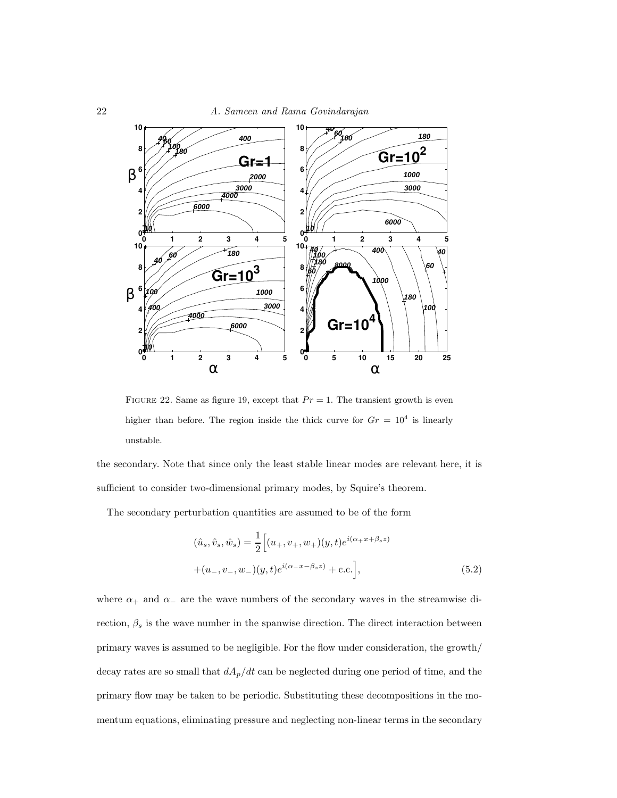

FIGURE 22. Same as figure 19, except that  $Pr = 1$ . The transient growth is even higher than before. The region inside the thick curve for  $Gr = 10^4$  is linearly unstable.

the secondary. Note that since only the least stable linear modes are relevant here, it is sufficient to consider two-dimensional primary modes, by Squire's theorem.

The secondary perturbation quantities are assumed to be of the form

$$
(\hat{u}_s, \hat{v}_s, \hat{w}_s) = \frac{1}{2} \Big[ (u_+, v_+, w_+) (y, t) e^{i(\alpha_+ x + \beta_s z)} + (u_-, v_-, w_-) (y, t) e^{i(\alpha_- x - \beta_s z)} + \text{c.c.} \Big],
$$
\n(5.2)

where  $\alpha_+$  and  $\alpha_-$  are the wave numbers of the secondary waves in the streamwise direction,  $\beta_s$  is the wave number in the spanwise direction. The direct interaction between primary waves is assumed to be negligible. For the flow under consideration, the growth/ decay rates are so small that  $dA_p/dt$  can be neglected during one period of time, and the primary flow may be taken to be periodic. Substituting these decompositions in the momentum equations, eliminating pressure and neglecting non-linear terms in the secondary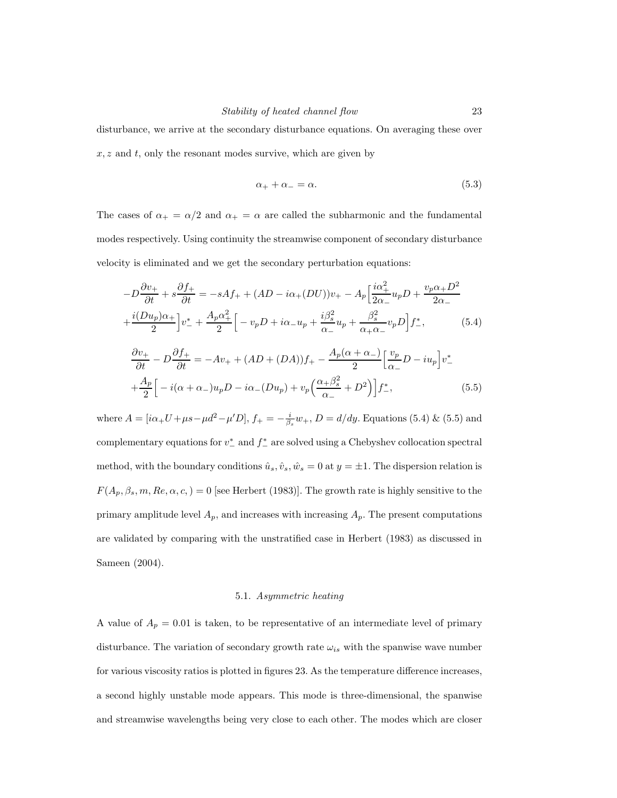disturbance, we arrive at the secondary disturbance equations. On averaging these over  $x, z$  and  $t$ , only the resonant modes survive, which are given by

$$
\alpha_+ + \alpha_- = \alpha. \tag{5.3}
$$

The cases of  $\alpha_+ = \alpha/2$  and  $\alpha_+ = \alpha$  are called the subharmonic and the fundamental modes respectively. Using continuity the streamwise component of secondary disturbance velocity is eliminated and we get the secondary perturbation equations:

$$
-D\frac{\partial v_{+}}{\partial t} + s\frac{\partial f_{+}}{\partial t} = -sAf_{+} + (AD - i\alpha_{+}(DU))v_{+} - A_{p}\left[\frac{i\alpha_{+}^{2}}{2\alpha_{-}}u_{p}D + \frac{v_{p}\alpha_{+}D^{2}}{2\alpha_{-}}\right]v_{-}^{*} + \frac{i(Du_{p})\alpha_{+}}{2}\left[v_{-}^{*} + \frac{A_{p}\alpha_{+}^{2}}{2}\left[-v_{p}D + i\alpha_{-}u_{p} + \frac{i\beta_{s}^{2}}{\alpha_{-}}u_{p} + \frac{\beta_{s}^{2}}{\alpha_{+}\alpha_{-}}v_{p}D\right]f_{-}^{*},\tag{5.4}
$$

$$
\frac{\partial v_{+}}{\partial t} - D \frac{\partial f_{+}}{\partial t} = -Av_{+} + (AD + (DA))f_{+} - \frac{A_{p}(\alpha + \alpha_{-})}{2} \left[ \frac{v_{p}}{\alpha_{-}} D - i u_{p} \right] v_{-}^{*}
$$

$$
+ \frac{A_{p}}{2} \left[ -i(\alpha + \alpha_{-}) u_{p} D - i\alpha_{-}(D u_{p}) + v_{p} \left( \frac{\alpha_{+} \beta_{s}^{2}}{\alpha_{-}} + D^{2} \right) \right] f_{-}^{*}, \tag{5.5}
$$

where  $A = [i\alpha_+ U + \mu s - \mu d^2 - \mu' D], f_+ = -\frac{i}{\beta_s} w_+, D = d/dy$ . Equations (5.4) & (5.5) and complementary equations for  $v_{-}^{*}$  and  $f_{-}^{*}$  are solved using a Chebyshev collocation spectral method, with the boundary conditions  $\hat{u}_s, \hat{v}_s, \hat{w}_s = 0$  at  $y = \pm 1$ . The dispersion relation is  $F(A_p, \beta_s, m, Re, \alpha, c) = 0$  [see Herbert (1983)]. The growth rate is highly sensitive to the primary amplitude level  $A_p$ , and increases with increasing  $A_p$ . The present computations are validated by comparing with the unstratified case in Herbert (1983) as discussed in Sameen (2004).

#### 5.1. Asymmetric heating

A value of  $A_p = 0.01$  is taken, to be representative of an intermediate level of primary disturbance. The variation of secondary growth rate  $\omega_{is}$  with the spanwise wave number for various viscosity ratios is plotted in figures 23. As the temperature difference increases, a second highly unstable mode appears. This mode is three-dimensional, the spanwise and streamwise wavelengths being very close to each other. The modes which are closer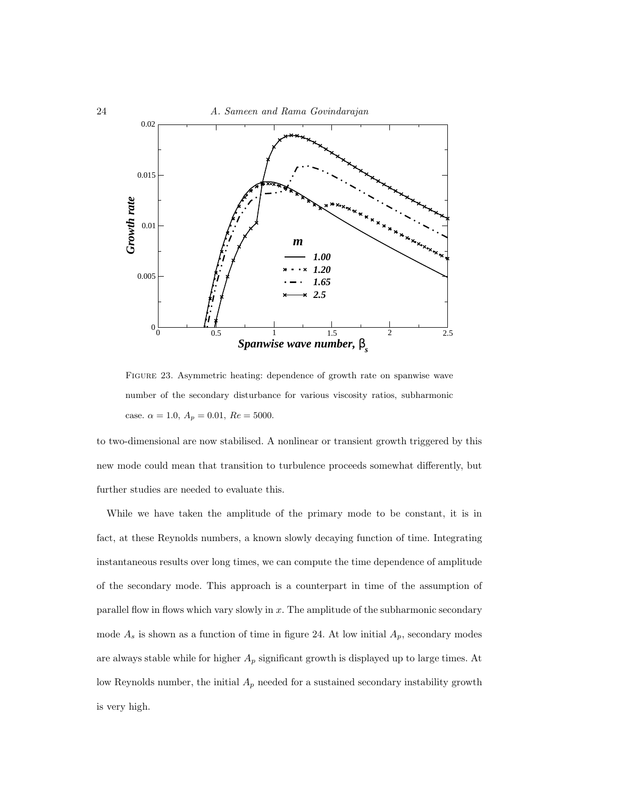

FIGURE 23. Asymmetric heating: dependence of growth rate on spanwise wave number of the secondary disturbance for various viscosity ratios, subharmonic case.  $\alpha = 1.0$ ,  $A_p = 0.01$ ,  $Re = 5000$ .

to two-dimensional are now stabilised. A nonlinear or transient growth triggered by this new mode could mean that transition to turbulence proceeds somewhat differently, but further studies are needed to evaluate this.

While we have taken the amplitude of the primary mode to be constant, it is in fact, at these Reynolds numbers, a known slowly decaying function of time. Integrating instantaneous results over long times, we can compute the time dependence of amplitude of the secondary mode. This approach is a counterpart in time of the assumption of parallel flow in flows which vary slowly in x. The amplitude of the subharmonic secondary mode  $A_s$  is shown as a function of time in figure 24. At low initial  $A_p$ , secondary modes are always stable while for higher  $A_p$  significant growth is displayed up to large times. At low Reynolds number, the initial  $A_p$  needed for a sustained secondary instability growth is very high.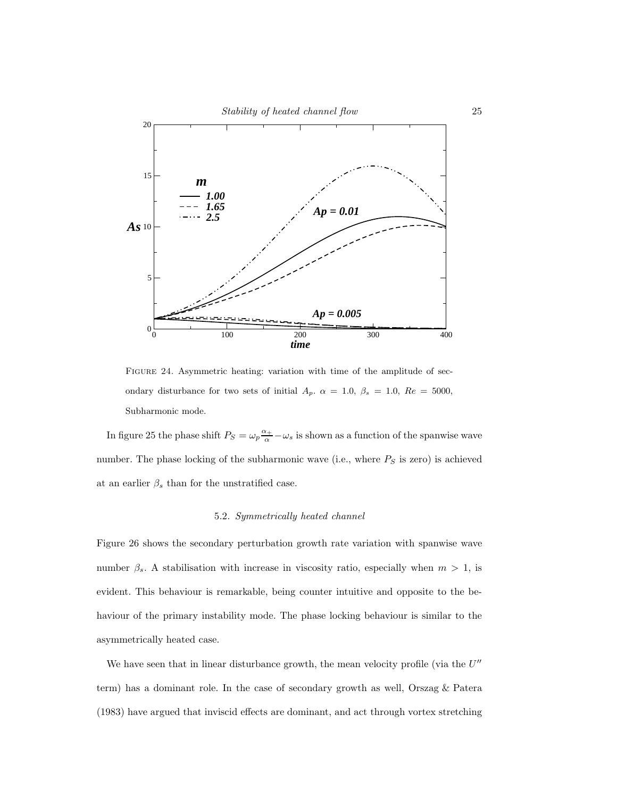

FIGURE 24. Asymmetric heating: variation with time of the amplitude of secondary disturbance for two sets of initial  $A_p$ .  $\alpha = 1.0$ ,  $\beta_s = 1.0$ ,  $Re = 5000$ , Subharmonic mode.

In figure 25 the phase shift  $P_S = \omega_p \frac{\alpha_+}{\alpha} - \omega_s$  is shown as a function of the spanwise wave number. The phase locking of the subharmonic wave (i.e., where  $P_S$  is zero) is achieved at an earlier  $\beta_s$  than for the unstratified case.

## 5.2. Symmetrically heated channel

Figure 26 shows the secondary perturbation growth rate variation with spanwise wave number  $\beta_s$ . A stabilisation with increase in viscosity ratio, especially when  $m > 1$ , is evident. This behaviour is remarkable, being counter intuitive and opposite to the behaviour of the primary instability mode. The phase locking behaviour is similar to the asymmetrically heated case.

We have seen that in linear disturbance growth, the mean velocity profile (via the  $U''$ term) has a dominant role. In the case of secondary growth as well, Orszag & Patera (1983) have argued that inviscid effects are dominant, and act through vortex stretching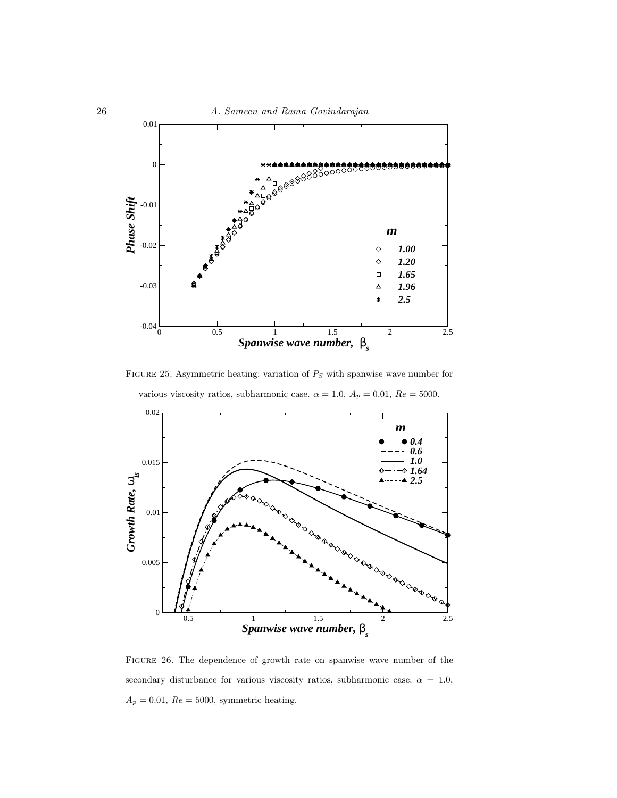

FIGURE 25. Asymmetric heating: variation of  $P_S$  with spanwise wave number for various viscosity ratios, subharmonic case.  $\alpha = 1.0$ ,  $A_p = 0.01$ ,  $Re = 5000$ .



FIGURE 26. The dependence of growth rate on spanwise wave number of the secondary disturbance for various viscosity ratios, subharmonic case.  $\alpha = 1.0$ ,  $A_p=0.01,\,Re=5000,$  symmetric heating.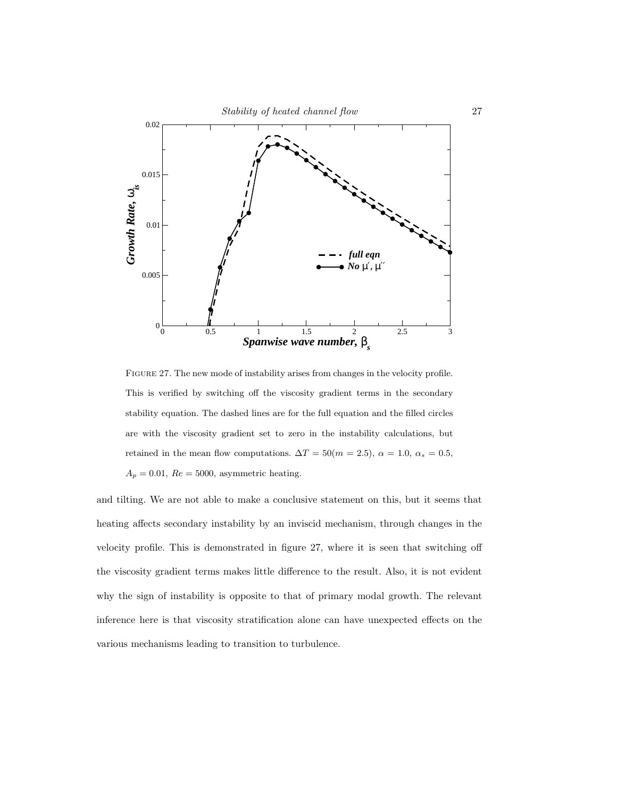

FIGURE 27. The new mode of instability arises from changes in the velocity profile. This is verified by switching off the viscosity gradient terms in the secondary stability equation. The dashed lines are for the full equation and the filled circles are with the viscosity gradient set to zero in the instability calculations, but retained in the mean flow computations.  $\Delta T = 50(m = 2.5)$ ,  $\alpha = 1.0$ ,  $\alpha_s = 0.5$ ,  $A_p = 0.01$ ,  $Re = 5000$ , asymmetric heating.

and tilting. We are not able to make a conclusive statement on this, but it seems that heating affects secondary instability by an inviscid mechanism, through changes in the velocity profile. This is demonstrated in figure 27, where it is seen that switching off the viscosity gradient terms makes little difference to the result. Also, it is not evident why the sign of instability is opposite to that of primary modal growth. The relevant inference here is that viscosity stratification alone can have unexpected effects on the various mechanisms leading to transition to turbulence.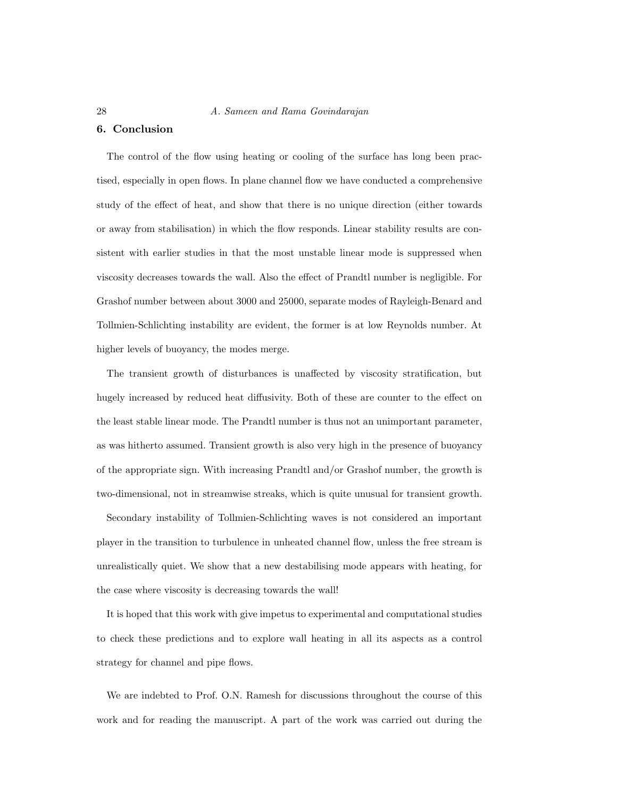#### 28 A. Sameen and Rama Govindarajan

#### 6. Conclusion

The control of the flow using heating or cooling of the surface has long been practised, especially in open flows. In plane channel flow we have conducted a comprehensive study of the effect of heat, and show that there is no unique direction (either towards or away from stabilisation) in which the flow responds. Linear stability results are consistent with earlier studies in that the most unstable linear mode is suppressed when viscosity decreases towards the wall. Also the effect of Prandtl number is negligible. For Grashof number between about 3000 and 25000, separate modes of Rayleigh-Benard and Tollmien-Schlichting instability are evident, the former is at low Reynolds number. At higher levels of buoyancy, the modes merge.

The transient growth of disturbances is unaffected by viscosity stratification, but hugely increased by reduced heat diffusivity. Both of these are counter to the effect on the least stable linear mode. The Prandtl number is thus not an unimportant parameter, as was hitherto assumed. Transient growth is also very high in the presence of buoyancy of the appropriate sign. With increasing Prandtl and/or Grashof number, the growth is two-dimensional, not in streamwise streaks, which is quite unusual for transient growth.

Secondary instability of Tollmien-Schlichting waves is not considered an important player in the transition to turbulence in unheated channel flow, unless the free stream is unrealistically quiet. We show that a new destabilising mode appears with heating, for the case where viscosity is decreasing towards the wall!

It is hoped that this work with give impetus to experimental and computational studies to check these predictions and to explore wall heating in all its aspects as a control strategy for channel and pipe flows.

We are indebted to Prof. O.N. Ramesh for discussions throughout the course of this work and for reading the manuscript. A part of the work was carried out during the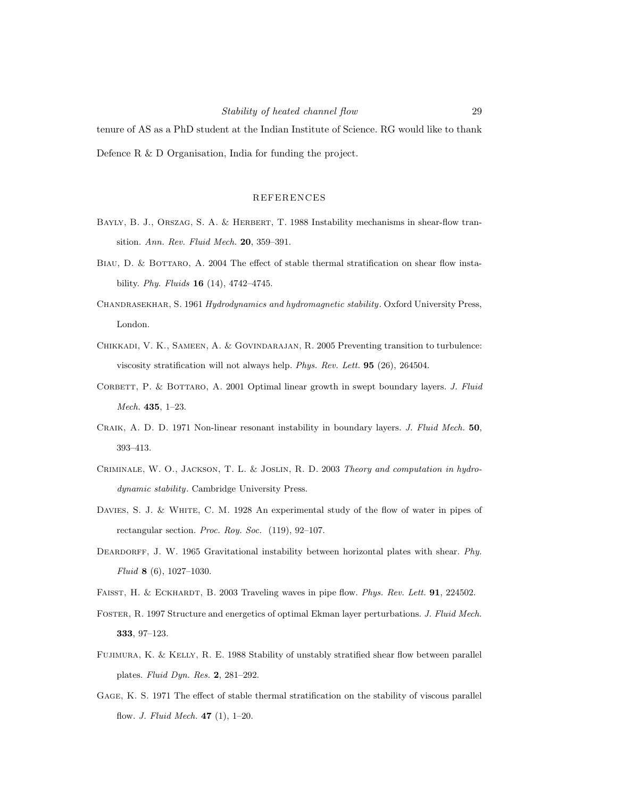tenure of AS as a PhD student at the Indian Institute of Science. RG would like to thank Defence R & D Organisation, India for funding the project.

#### REFERENCES

- BAYLY, B. J., ORSZAG, S. A. & HERBERT, T. 1988 Instability mechanisms in shear-flow transition. Ann. Rev. Fluid Mech. 20, 359–391.
- BIAU, D. & BOTTARO, A. 2004 The effect of stable thermal stratification on shear flow instability. Phy. Fluids **16** (14), 4742-4745.
- CHANDRASEKHAR, S. 1961 Hydrodynamics and hydromagnetic stability. Oxford University Press, London.
- Chikkadi, V. K., Sameen, A. & Govindarajan, R. 2005 Preventing transition to turbulence: viscosity stratification will not always help. Phys. Rev. Lett. 95 (26), 264504.
- CORBETT, P. & BOTTARO, A. 2001 Optimal linear growth in swept boundary layers. J. Fluid Mech. 435, 1–23.
- CRAIK, A. D. D. 1971 Non-linear resonant instability in boundary layers. J. Fluid Mech. 50, 393–413.
- Criminale, W. O., Jackson, T. L. & Joslin, R. D. 2003 Theory and computation in hydrodynamic stability. Cambridge University Press.
- DAVIES, S. J. & WHITE, C. M. 1928 An experimental study of the flow of water in pipes of rectangular section. Proc. Roy. Soc. (119), 92–107.
- DEARDORFF, J. W. 1965 Gravitational instability between horizontal plates with shear. Phy. Fluid 8  $(6)$ , 1027-1030.
- FAISST, H. & ECKHARDT, B. 2003 Traveling waves in pipe flow. Phys. Rev. Lett. 91, 224502.
- FOSTER, R. 1997 Structure and energetics of optimal Ekman layer perturbations. J. Fluid Mech. 333, 97–123.
- Fujimura, K. & Kelly, R. E. 1988 Stability of unstably stratified shear flow between parallel plates. Fluid Dyn. Res. 2, 281–292.
- Gage, K. S. 1971 The effect of stable thermal stratification on the stability of viscous parallel flow. *J. Fluid Mech.* **47** (1),  $1-20$ .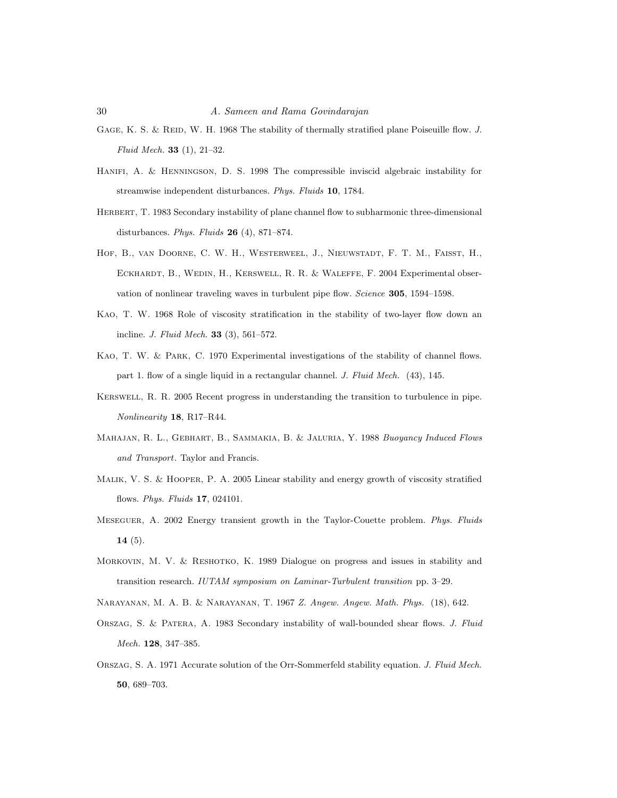- GAGE, K. S. & REID, W. H. 1968 The stability of thermally stratified plane Poiseuille flow. J. Fluid Mech. 33 (1), 21–32.
- Hanifi, A. & Henningson, D. S. 1998 The compressible inviscid algebraic instability for streamwise independent disturbances. Phys. Fluids 10, 1784.
- HERBERT, T. 1983 Secondary instability of plane channel flow to subharmonic three-dimensional disturbances. Phys. Fluids  $26$  (4), 871–874.
- HOF, B., VAN DOORNE, C. W. H., WESTERWEEL, J., NIEUWSTADT, F. T. M., FAISST, H., Eckhardt, B., Wedin, H., Kerswell, R. R. & Waleffe, F. 2004 Experimental observation of nonlinear traveling waves in turbulent pipe flow. Science 305, 1594–1598.
- Kao, T. W. 1968 Role of viscosity stratification in the stability of two-layer flow down an incline. J. Fluid Mech. 33 (3), 561–572.
- Kao, T. W. & Park, C. 1970 Experimental investigations of the stability of channel flows. part 1. flow of a single liquid in a rectangular channel. J. Fluid Mech. (43), 145.
- Kerswell, R. R. 2005 Recent progress in understanding the transition to turbulence in pipe. Nonlinearity 18, R17–R44.
- MAHAJAN, R. L., GEBHART, B., SAMMAKIA, B. & JALURIA, Y. 1988 Buoyancy Induced Flows and Transport. Taylor and Francis.
- Malik, V. S. & Hooper, P. A. 2005 Linear stability and energy growth of viscosity stratified flows. Phys. Fluids 17, 024101.
- Meseguer, A. 2002 Energy transient growth in the Taylor-Couette problem. Phys. Fluids 14 $(5)$ .
- MORKOVIN, M. V. & RESHOTKO, K. 1989 Dialogue on progress and issues in stability and transition research. IUTAM symposium on Laminar-Turbulent transition pp. 3–29.
- Narayanan, M. A. B. & Narayanan, T. 1967 Z. Angew. Angew. Math. Phys. (18), 642.
- ORSZAG, S. & PATERA, A. 1983 Secondary instability of wall-bounded shear flows. J. Fluid Mech. 128, 347–385.
- ORSZAG, S. A. 1971 Accurate solution of the Orr-Sommerfeld stability equation. J. Fluid Mech. 50, 689–703.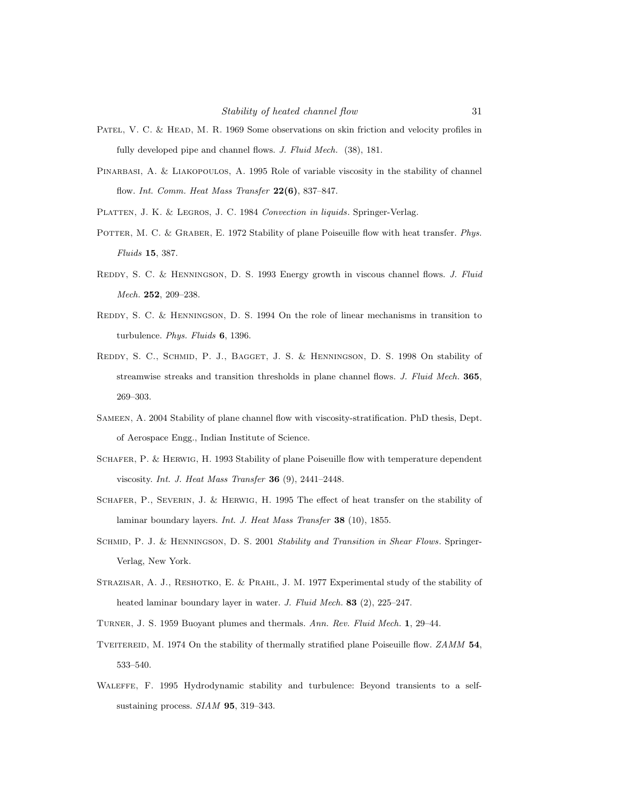- PATEL, V. C. & HEAD, M. R. 1969 Some observations on skin friction and velocity profiles in fully developed pipe and channel flows. J. Fluid Mech. (38), 181.
- PINARBASI, A. & LIAKOPOULOS, A. 1995 Role of variable viscosity in the stability of channel flow. Int. Comm. Heat Mass Transfer  $22(6)$ , 837–847.
- PLATTEN, J. K. & LEGROS, J. C. 1984 Convection in liquids. Springer-Verlag.
- POTTER, M. C. & GRABER, E. 1972 Stability of plane Poiseuille flow with heat transfer. Phys. Fluids 15, 387.
- REDDY, S. C. & HENNINGSON, D. S. 1993 Energy growth in viscous channel flows. J. Fluid Mech. 252, 209-238.
- REDDY, S. C. & HENNINGSON, D. S. 1994 On the role of linear mechanisms in transition to turbulence. Phys. Fluids 6, 1396.
- Reddy, S. C., Schmid, P. J., Bagget, J. S. & Henningson, D. S. 1998 On stability of streamwise streaks and transition thresholds in plane channel flows. J. Fluid Mech. 365, 269–303.
- Sameen, A. 2004 Stability of plane channel flow with viscosity-stratification. PhD thesis, Dept. of Aerospace Engg., Indian Institute of Science.
- SCHAFER, P. & HERWIG, H. 1993 Stability of plane Poiseuille flow with temperature dependent viscosity. Int. J. Heat Mass Transfer 36 (9), 2441–2448.
- SCHAFER, P., SEVERIN, J. & HERWIG, H. 1995 The effect of heat transfer on the stability of laminar boundary layers. Int. J. Heat Mass Transfer 38 (10), 1855.
- SCHMID, P. J. & HENNINGSON, D. S. 2001 Stability and Transition in Shear Flows. Springer-Verlag, New York.
- STRAZISAR, A. J., RESHOTKO, E. & PRAHL, J. M. 1977 Experimental study of the stability of heated laminar boundary layer in water. J. Fluid Mech. 83 (2), 225-247.
- Turner, J. S. 1959 Buoyant plumes and thermals. Ann. Rev. Fluid Mech. 1, 29–44.
- TVEITEREID, M. 1974 On the stability of thermally stratified plane Poiseuille flow. ZAMM 54, 533–540.
- WALEFFE, F. 1995 Hydrodynamic stability and turbulence: Beyond transients to a selfsustaining process. SIAM 95, 319-343.